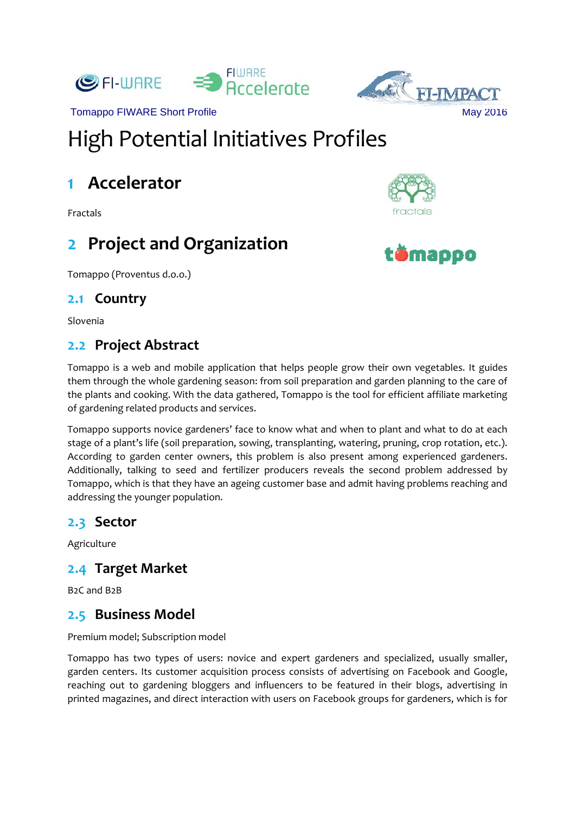



# High Potential Initiatives Profiles

# **1 Accelerator**

Fractals

## **2 Project and Organization**

Tomappo (Proventus d.o.o.)

#### **2.1 Country**

Slovenia

### **2.2 Project Abstract**

Tomappo is a web and mobile application that helps people grow their own vegetables. It guides them through the whole gardening season: from soil preparation and garden planning to the care of the plants and cooking. With the data gathered, Tomappo is the tool for efficient affiliate marketing of gardening related products and services.

Tomappo supports novice gardeners' face to know what and when to plant and what to do at each stage of a plant's life (soil preparation, sowing, transplanting, watering, pruning, crop rotation, etc.). According to garden center owners, this problem is also present among experienced gardeners. Additionally, talking to seed and fertilizer producers reveals the second problem addressed by Tomappo, which is that they have an ageing customer base and admit having problems reaching and addressing the younger population.

#### **2.3 Sector**

Agriculture

#### **2.4 Target Market**

B2C and B2B

#### **2.5 Business Model**

Premium model; Subscription model

Tomappo has two types of users: novice and expert gardeners and specialized, usually smaller, garden centers. Its customer acquisition process consists of advertising on Facebook and Google, reaching out to gardening bloggers and influencers to be featured in their blogs, advertising in printed magazines, and direct interaction with users on Facebook groups for gardeners, which is for